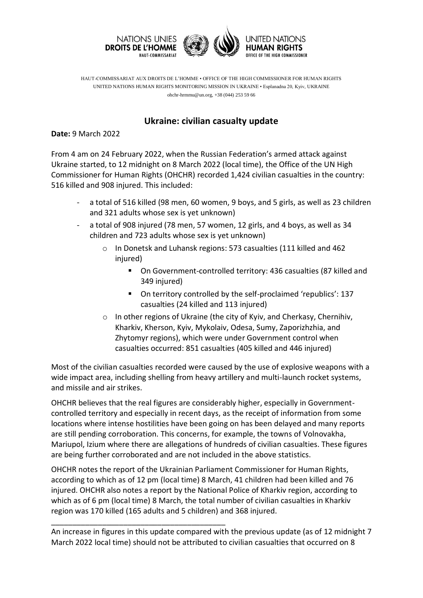

HAUT-COMMISSARIAT AUX DROITS DE L'HOMME • OFFICE OF THE HIGH COMMISSIONER FOR HUMAN RIGHTS UNITED NATIONS HUMAN RIGHTS MONITORING MISSION IN UKRAINE • Esplanadna 20, Kyiv, UKRAINE ohchr-hrmmu@un.org, +38 (044) 253 59 66

## **Ukraine: civilian casualty update**

**Date:** 9 March 2022

From 4 am on 24 February 2022, when the Russian Federation's armed attack against Ukraine started, to 12 midnight on 8 March 2022 (local time), the Office of the UN High Commissioner for Human Rights (OHCHR) recorded 1,424 civilian casualties in the country: 516 killed and 908 injured. This included:

- a total of 516 killed (98 men, 60 women, 9 boys, and 5 girls, as well as 23 children and 321 adults whose sex is yet unknown)
- a total of 908 injured (78 men, 57 women, 12 girls, and 4 boys, as well as 34 children and 723 adults whose sex is yet unknown)
	- o In Donetsk and Luhansk regions: 573 casualties (111 killed and 462 injured)
		- On Government-controlled territory: 436 casualties (87 killed and 349 injured)
		- On territory controlled by the self-proclaimed 'republics': 137 casualties (24 killed and 113 injured)
	- o In other regions of Ukraine (the city of Kyiv, and Cherkasy, Chernihiv, Kharkiv, Kherson, Kyiv, Mykolaiv, Odesa, Sumy, Zaporizhzhia, and Zhytomyr regions), which were under Government control when casualties occurred: 851 casualties (405 killed and 446 injured)

Most of the civilian casualties recorded were caused by the use of explosive weapons with a wide impact area, including shelling from heavy artillery and multi-launch rocket systems, and missile and air strikes.

OHCHR believes that the real figures are considerably higher, especially in Governmentcontrolled territory and especially in recent days, as the receipt of information from some locations where intense hostilities have been going on has been delayed and many reports are still pending corroboration. This concerns, for example, the towns of Volnovakha, Mariupol, Izium where there are allegations of hundreds of civilian casualties. These figures are being further corroborated and are not included in the above statistics.

OHCHR notes the report of the Ukrainian Parliament Commissioner for Human Rights, according to which as of 12 pm (local time) 8 March, 41 children had been killed and 76 injured. OHCHR also notes a report by the National Police of Kharkiv region, according to which as of 6 pm (local time) 8 March, the total number of civilian casualties in Kharkiv region was 170 killed (165 adults and 5 children) and 368 injured.

\_\_\_\_\_\_\_\_\_\_\_\_\_\_\_\_\_\_\_\_\_\_\_\_\_\_\_\_\_\_\_\_\_\_\_\_\_\_\_\_\_

An increase in figures in this update compared with the previous update (as of 12 midnight 7 March 2022 local time) should not be attributed to civilian casualties that occurred on 8